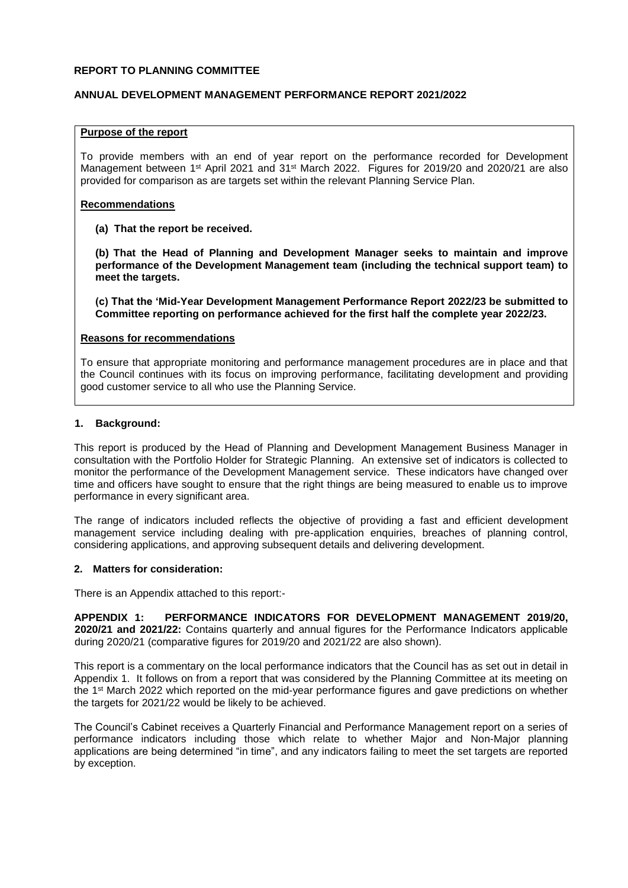### **REPORT TO PLANNING COMMITTEE**

## **ANNUAL DEVELOPMENT MANAGEMENT PERFORMANCE REPORT 2021/2022**

## **Purpose of the report**

To provide members with an end of year report on the performance recorded for Development Management between 1<sup>st</sup> April 2021 and 31<sup>st</sup> March 2022. Figures for 2019/20 and 2020/21 are also provided for comparison as are targets set within the relevant Planning Service Plan.

### **Recommendations**

**(a) That the report be received.**

**(b) That the Head of Planning and Development Manager seeks to maintain and improve performance of the Development Management team (including the technical support team) to meet the targets.**

**(c) That the 'Mid-Year Development Management Performance Report 2022/23 be submitted to Committee reporting on performance achieved for the first half the complete year 2022/23.**

### **Reasons for recommendations**

To ensure that appropriate monitoring and performance management procedures are in place and that the Council continues with its focus on improving performance, facilitating development and providing good customer service to all who use the Planning Service.

### **1. Background:**

This report is produced by the Head of Planning and Development Management Business Manager in consultation with the Portfolio Holder for Strategic Planning. An extensive set of indicators is collected to monitor the performance of the Development Management service. These indicators have changed over time and officers have sought to ensure that the right things are being measured to enable us to improve performance in every significant area.

The range of indicators included reflects the objective of providing a fast and efficient development management service including dealing with pre-application enquiries, breaches of planning control, considering applications, and approving subsequent details and delivering development.

### **2. Matters for consideration:**

There is an Appendix attached to this report:-

**APPENDIX 1: PERFORMANCE INDICATORS FOR DEVELOPMENT MANAGEMENT 2019/20, 2020/21 and 2021/22:** Contains quarterly and annual figures for the Performance Indicators applicable during 2020/21 (comparative figures for 2019/20 and 2021/22 are also shown).

This report is a commentary on the local performance indicators that the Council has as set out in detail in Appendix 1. It follows on from a report that was considered by the Planning Committee at its meeting on the 1<sup>st</sup> March 2022 which reported on the mid-year performance figures and gave predictions on whether the targets for 2021/22 would be likely to be achieved.

The Council's Cabinet receives a Quarterly Financial and Performance Management report on a series of performance indicators including those which relate to whether Major and Non-Major planning applications are being determined "in time", and any indicators failing to meet the set targets are reported by exception.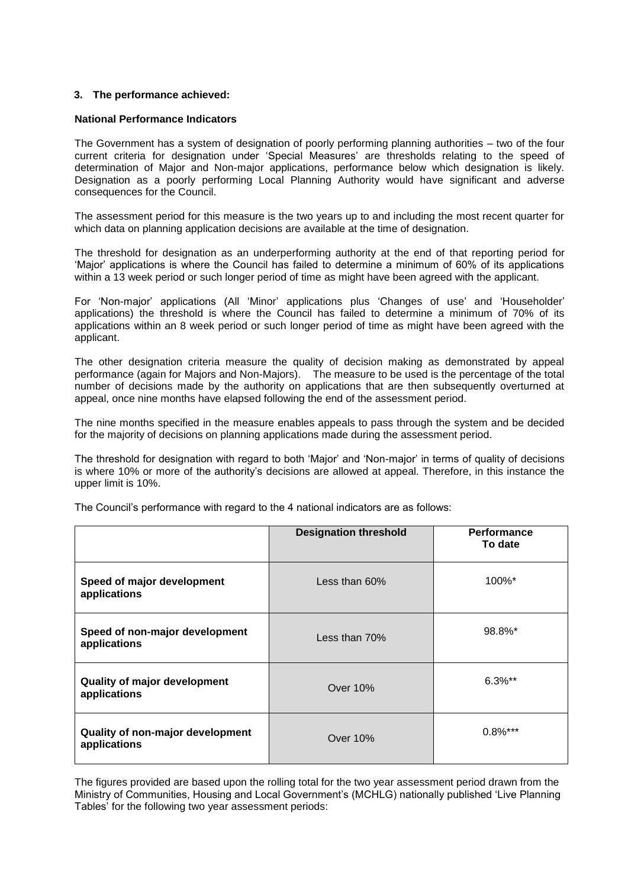## **3. The performance achieved:**

### **National Performance Indicators**

The Government has a system of designation of poorly performing planning authorities – two of the four current criteria for designation under 'Special Measures' are thresholds relating to the speed of determination of Major and Non-major applications, performance below which designation is likely. Designation as a poorly performing Local Planning Authority would have significant and adverse consequences for the Council.

The assessment period for this measure is the two years up to and including the most recent quarter for which data on planning application decisions are available at the time of designation.

The threshold for designation as an underperforming authority at the end of that reporting period for 'Major' applications is where the Council has failed to determine a minimum of 60% of its applications within a 13 week period or such longer period of time as might have been agreed with the applicant.

For 'Non-major' applications (All 'Minor' applications plus 'Changes of use' and 'Householder' applications) the threshold is where the Council has failed to determine a minimum of 70% of its applications within an 8 week period or such longer period of time as might have been agreed with the applicant.

The other designation criteria measure the quality of decision making as demonstrated by appeal performance (again for Majors and Non-Majors). The measure to be used is the percentage of the total number of decisions made by the authority on applications that are then subsequently overturned at appeal, once nine months have elapsed following the end of the assessment period.

The nine months specified in the measure enables appeals to pass through the system and be decided for the majority of decisions on planning applications made during the assessment period.

The threshold for designation with regard to both 'Major' and 'Non-major' in terms of quality of decisions is where 10% or more of the authority's decisions are allowed at appeal. Therefore, in this instance the upper limit is 10%.

|                                                     | <b>Designation threshold</b> | <b>Performance</b><br>To date |
|-----------------------------------------------------|------------------------------|-------------------------------|
| Speed of major development<br>applications          | Less than $60\%$             | 100%*                         |
| Speed of non-major development<br>applications      | Less than 70%                | 98.8%*                        |
| <b>Quality of major development</b><br>applications | Over 10%                     | $6.3\%$ **                    |
| Quality of non-major development<br>applications    | Over 10%                     | $0.8\%$ ***                   |

The Council's performance with regard to the 4 national indicators are as follows:

The figures provided are based upon the rolling total for the two year assessment period drawn from the Ministry of Communities, Housing and Local Government's (MCHLG) nationally published 'Live Planning Tables' for the following two year assessment periods: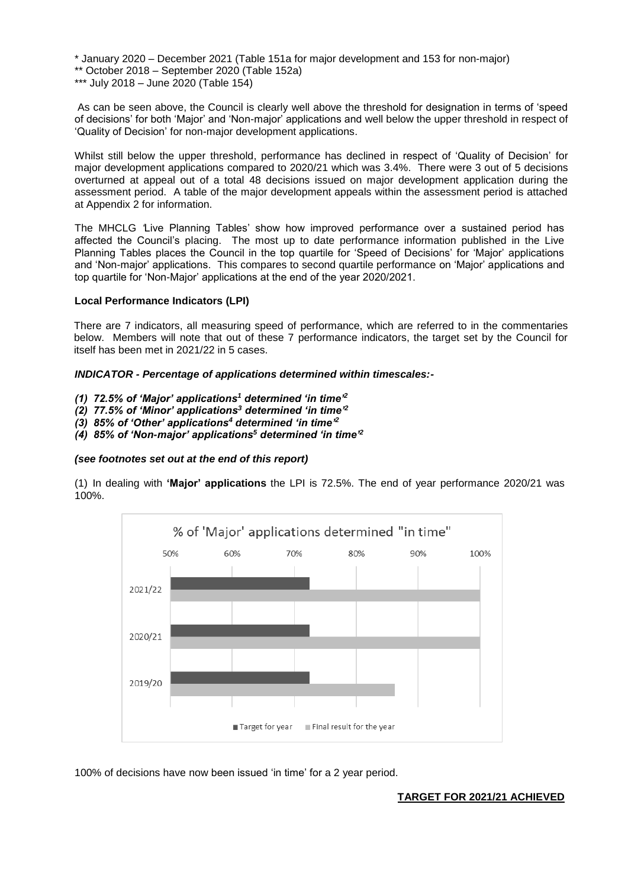\* January 2020 – December 2021 (Table 151a for major development and 153 for non-major) \*\* October 2018 – September 2020 (Table 152a) \*\*\* July 2018 – June 2020 (Table 154)

As can be seen above, the Council is clearly well above the threshold for designation in terms of 'speed of decisions' for both 'Major' and 'Non-major' applications and well below the upper threshold in respect of 'Quality of Decision' for non-major development applications.

Whilst still below the upper threshold, performance has declined in respect of 'Quality of Decision' for major development applications compared to 2020/21 which was 3.4%. There were 3 out of 5 decisions overturned at appeal out of a total 48 decisions issued on major development application during the assessment period. A table of the major development appeals within the assessment period is attached at Appendix 2 for information.

The MHCLG *'*Live Planning Tables' show how improved performance over a sustained period has affected the Council's placing. The most up to date performance information published in the Live Planning Tables places the Council in the top quartile for 'Speed of Decisions' for 'Major' applications and 'Non-major' applications. This compares to second quartile performance on 'Major' applications and top quartile for 'Non-Major' applications at the end of the year 2020/2021.

## **Local Performance Indicators (LPI)**

There are 7 indicators, all measuring speed of performance, which are referred to in the commentaries below. Members will note that out of these 7 performance indicators, the target set by the Council for itself has been met in 2021/22 in 5 cases.

## *INDICATOR - Percentage of applications determined within timescales:-*

- *(1) 72.5% of 'Major' applications<sup>1</sup> determined 'in time'<sup>2</sup>*
- *(2) 77.5% of 'Minor' applications<sup>3</sup> determined 'in time'<sup>2</sup>*
- *(3) 85% of 'Other' applications<sup>4</sup> determined 'in time'<sup>2</sup>*
- *(4) 85% of 'Non-major' applications<sup>5</sup> determined 'in time'<sup>2</sup>*

### *(see footnotes set out at the end of this report)*

(1) In dealing with **'Major' applications** the LPI is 72.5%. The end of year performance 2020/21 was 100%.



100% of decisions have now been issued 'in time' for a 2 year period.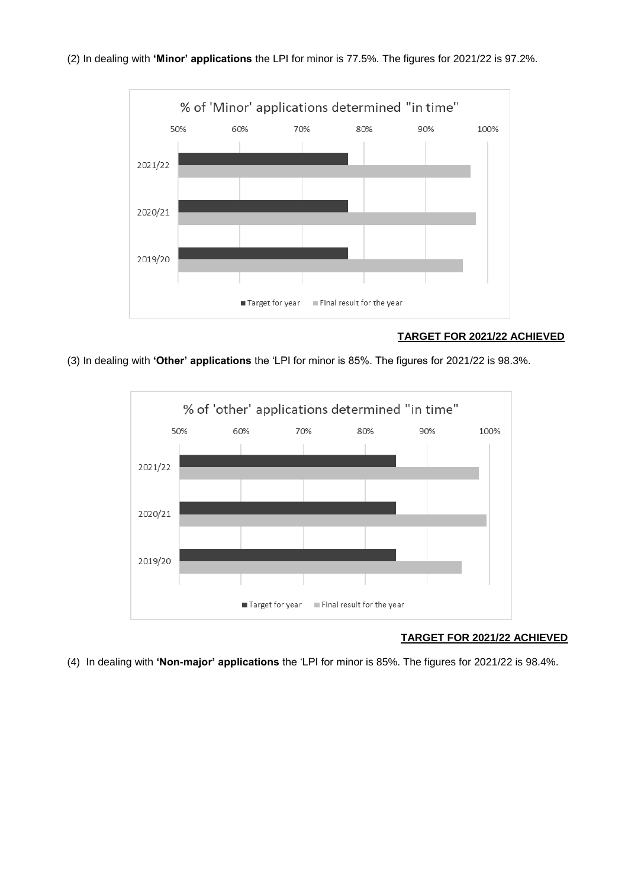



# **TARGET FOR 2021/22 ACHIEVED**

(3) In dealing with **'Other' applications** the 'LPI for minor is 85%. The figures for 2021/22 is 98.3%.



# **TARGET FOR 2021/22 ACHIEVED**

(4) In dealing with **'Non-major' applications** the 'LPI for minor is 85%. The figures for 2021/22 is 98.4%.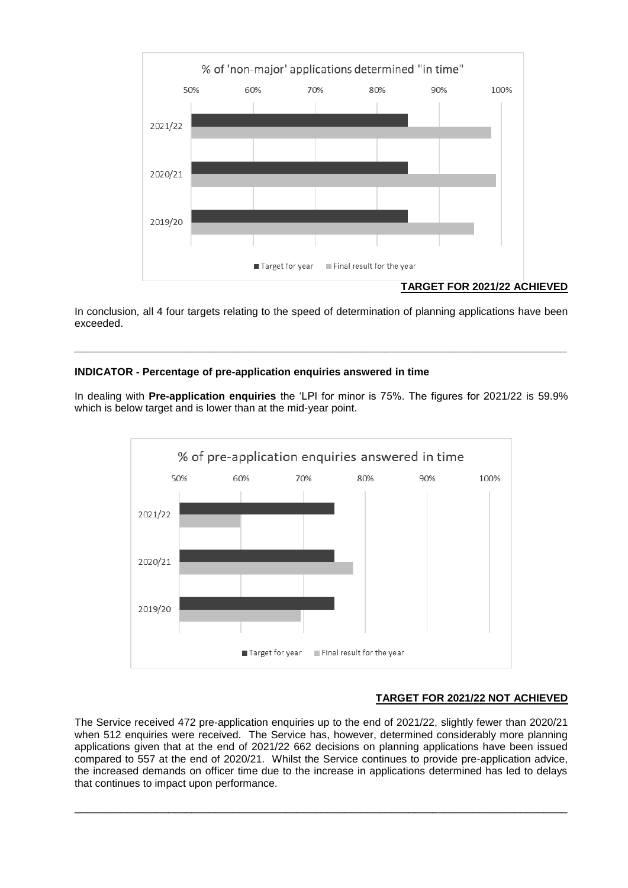

# **TARGET FOR 2021/22 ACHIEVED**

In conclusion, all 4 four targets relating to the speed of determination of planning applications have been exceeded.

*\_\_\_\_\_\_\_\_\_\_\_\_\_\_\_\_\_\_\_\_\_\_\_\_\_\_\_\_\_\_\_\_\_\_\_\_\_\_\_\_\_\_\_\_\_\_\_\_\_\_\_\_\_\_\_\_\_\_\_\_\_\_\_\_\_\_\_\_\_\_\_\_\_\_\_\_\_\_\_\_\_\_\_\_*

# **INDICATOR - Percentage of pre-application enquiries answered in time**

In dealing with **Pre-application enquiries** the 'LPI for minor is 75%. The figures for 2021/22 is 59.9% which is below target and is lower than at the mid-year point.



# **TARGET FOR 2021/22 NOT ACHIEVED**

The Service received 472 pre-application enquiries up to the end of 2021/22, slightly fewer than 2020/21 when 512 enquiries were received. The Service has, however, determined considerably more planning applications given that at the end of 2021/22 662 decisions on planning applications have been issued compared to 557 at the end of 2020/21. Whilst the Service continues to provide pre-application advice, the increased demands on officer time due to the increase in applications determined has led to delays that continues to impact upon performance.

\_\_\_\_\_\_\_\_\_\_\_\_\_\_\_\_\_\_\_\_\_\_\_\_\_\_\_\_\_\_\_\_\_\_\_\_\_\_\_\_\_\_\_\_\_\_\_\_\_\_\_\_\_\_\_\_\_\_\_\_\_\_\_\_\_\_\_\_\_\_\_\_\_\_\_\_\_\_\_\_\_\_\_\_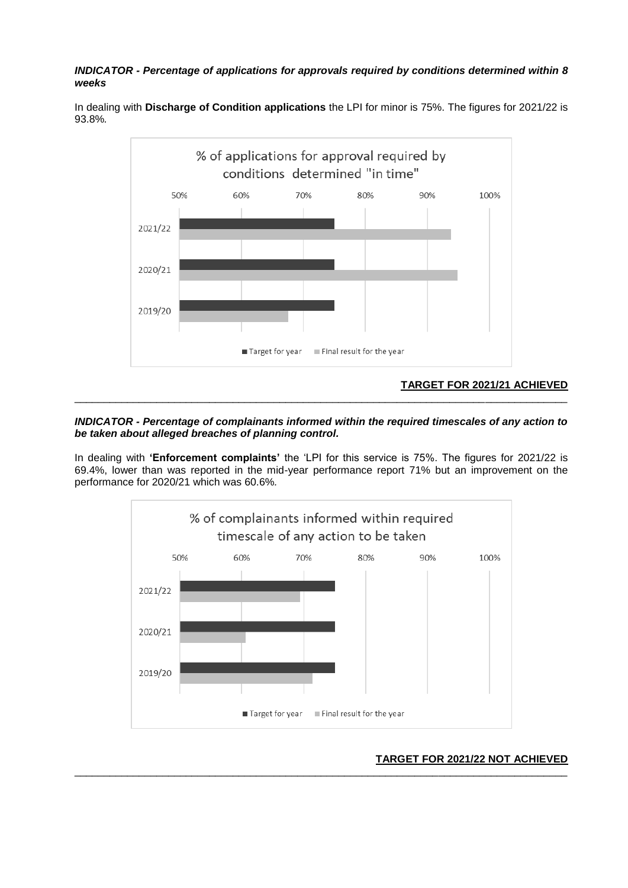# *INDICATOR - Percentage of applications for approvals required by conditions determined within 8 weeks*



In dealing with **Discharge of Condition applications** the LPI for minor is 75%. The figures for 2021/22 is 93.8%*.*

## *INDICATOR - Percentage of complainants informed within the required timescales of any action to be taken about alleged breaches of planning control.*

In dealing with **'Enforcement complaints'** the 'LPI for this service is 75%. The figures for 2021/22 is 69.4%, lower than was reported in the mid-year performance report 71% but an improvement on the performance for 2020/21 which was 60.6%*.* 



## **TARGET FOR 2021/22 NOT ACHIEVED** \_\_\_\_\_\_\_\_\_\_\_\_\_\_\_\_\_\_\_\_\_\_\_\_\_\_\_\_\_\_\_\_\_\_\_\_\_\_\_\_\_\_\_\_\_\_\_\_\_\_\_\_\_\_\_\_\_\_\_\_\_\_\_\_\_\_\_\_\_\_\_\_\_\_\_\_\_\_\_\_\_\_\_\_